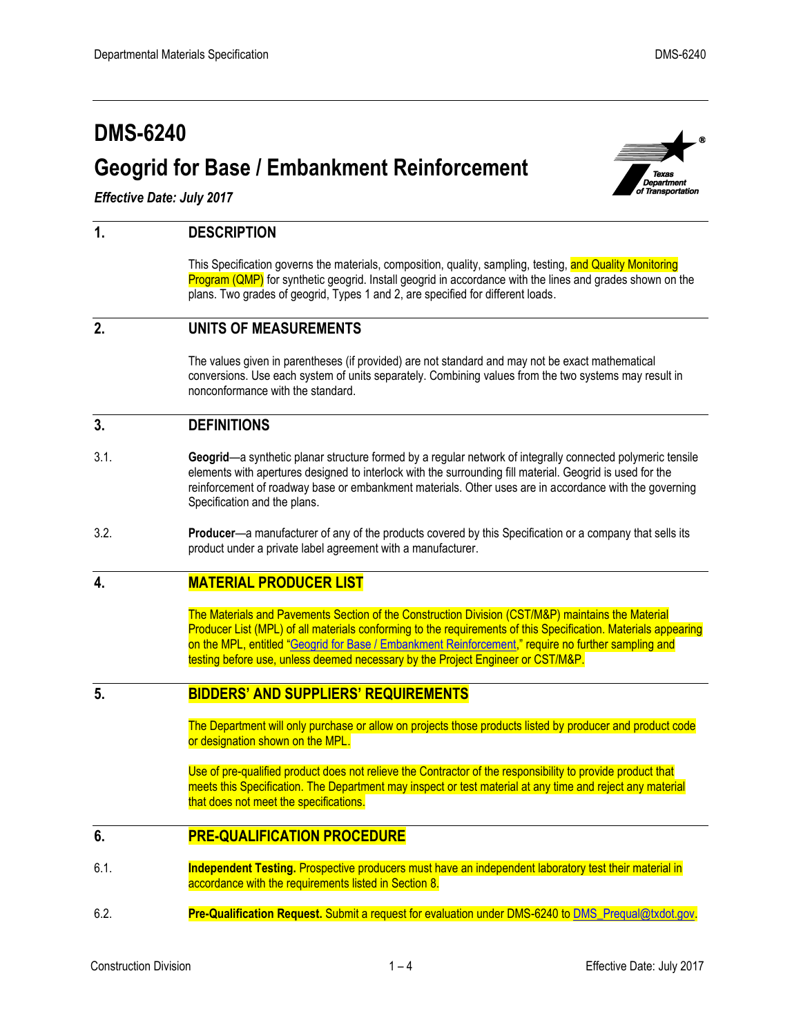# **DMS-6240 Geogrid for Base / Embankment Reinforcement**



*Effective Date: July 2017*

## **1. DESCRIPTION**

This Specification governs the materials, composition, quality, sampling, testing, and Quality Monitoring Program (QMP) for synthetic geogrid. Install geogrid in accordance with the lines and grades shown on the plans. Two grades of geogrid, Types 1 and 2, are specified for different loads.

# **2. UNITS OF MEASUREMENTS**

The values given in parentheses (if provided) are not standard and may not be exact mathematical conversions. Use each system of units separately. Combining values from the two systems may result in nonconformance with the standard.

#### **3. DEFINITIONS**

- 3.1. **Geogrid**—a synthetic planar structure formed by a regular network of integrally connected polymeric tensile elements with apertures designed to interlock with the surrounding fill material. Geogrid is used for the reinforcement of roadway base or embankment materials. Other uses are in accordance with the governing Specification and the plans.
- 3.2. **Producer**—a manufacturer of any of the products covered by this Specification or a company that sells its product under a private label agreement with a manufacturer.

#### **4. MATERIAL PRODUCER LIST**

The Materials and Pavements Section of the Construction Division (CST/M&P) maintains the Material Producer List (MPL) of all materials conforming to the requirements of this Specification. Materials appearing on the MPL, entitled "[Geogrid for Base / Embankment Reinforcement](http://ftp.dot.state.tx.us/pub/txdot-info/cmd/mpl/gridber.pdf)," require no further sampling and testing before use, unless deemed necessary by the Project Engineer or CST/M&P.

# **5. BIDDERS' AND SUPPLIERS' REQUIREMENTS**

The Department will only purchase or allow on projects those products listed by producer and product code or designation shown on the MPL.

Use of pre-qualified product does not relieve the Contractor of the responsibility to provide product that meets this Specification. The Department may inspect or test material at any time and reject any material that does not meet the specifications.

#### **6. PRE-QUALIFICATION PROCEDURE**

- 6.1. **Independent Testing.** Prospective producers must have an independent laboratory test their material in accordance with the requirements listed in Section 8.
- 6.2. **Pre-Qualification Request.** Submit a request for evaluation under DMS-6240 t[o DMS\\_Prequal@txdot.gov.](mailto:DMS_Prequal@txdot.gov)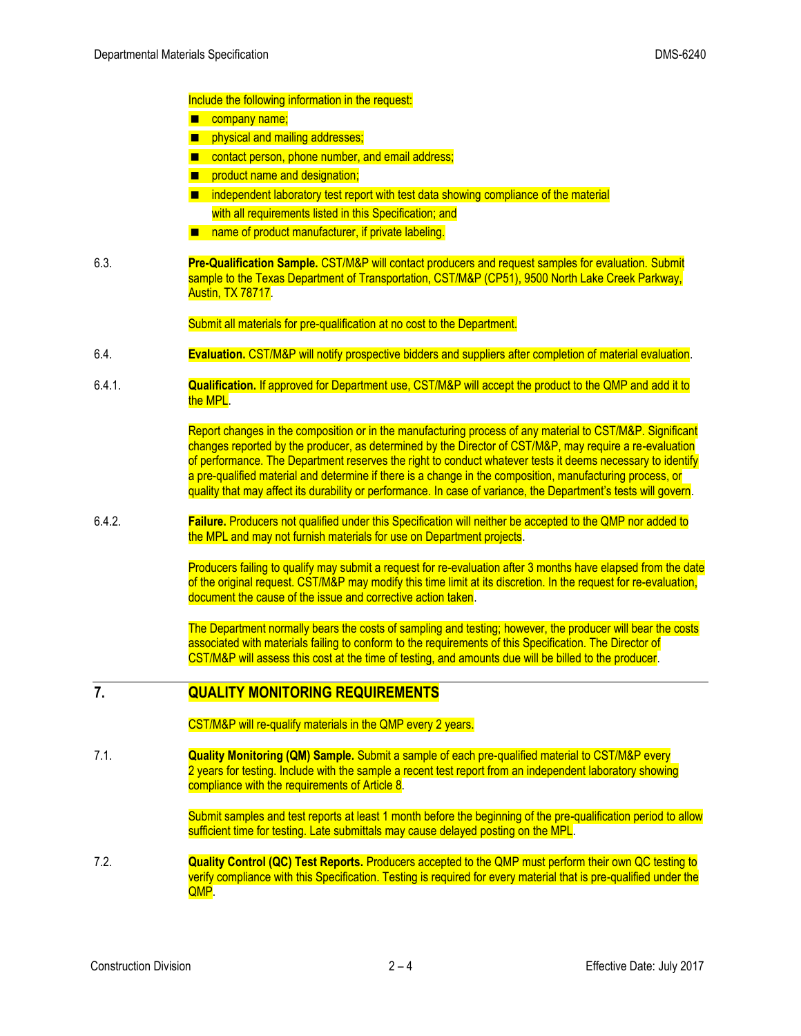Include the following information in the request:

- company name;
- **n** physical and mailing addresses;
- contact person, phone number, and email address;
- **Part of the Theorem Exercise Andra** designation;
- independent laboratory test report with test data showing compliance of the material with all requirements listed in this Specification; and
- name of product manufacturer, if private labeling.
- 6.3. **Pre-Qualification Sample.** CST/M&P will contact producers and request samples for evaluation. Submit sample to the Texas Department of Transportation, CST/M&P (CP51), 9500 North Lake Creek Parkway, Austin, TX 78717.

Submit all materials for pre-qualification at no cost to the Department.

- 6.4. **Evaluation.** CST/M&P will notify prospective bidders and suppliers after completion of material evaluation.
- 6.4.1. **Qualification.** If approved for Department use, CST/M&P will accept the product to the QMP and add it to the MPL.

Report changes in the composition or in the manufacturing process of any material to CST/M&P. Significant changes reported by the producer, as determined by the Director of CST/M&P, may require a re-evaluation of performance. The Department reserves the right to conduct whatever tests it deems necessary to identify a pre-qualified material and determine if there is a change in the composition, manufacturing process, or quality that may affect its durability or performance. In case of variance, the Department's tests will govern.

6.4.2. **Failure.** Producers not qualified under this Specification will neither be accepted to the QMP nor added to the MPL and may not furnish materials for use on Department projects.

> Producers failing to qualify may submit a request for re-evaluation after 3 months have elapsed from the date of the original request. CST/M&P may modify this time limit at its discretion. In the request for re-evaluation, document the cause of the issue and corrective action taken.

The Department normally bears the costs of sampling and testing; however, the producer will bear the costs associated with materials failing to conform to the requirements of this Specification. The Director of CST/M&P will assess this cost at the time of testing, and amounts due will be billed to the producer.

# **7. QUALITY MONITORING REQUIREMENTS**

CST/M&P will re-qualify materials in the QMP every 2 years.

7.1. **Quality Monitoring (QM) Sample.** Submit a sample of each pre-qualified material to CST/M&P every 2 years for testing. Include with the sample a recent test report from an independent laboratory showing compliance with the requirements of Article 8.

> Submit samples and test reports at least 1 month before the beginning of the pre-qualification period to allow sufficient time for testing. Late submittals may cause delayed posting on the MPL.

7.2. **Quality Control (QC) Test Reports.** Producers accepted to the QMP must perform their own QC testing to verify compliance with this Specification. Testing is required for every material that is pre-qualified under the QMP.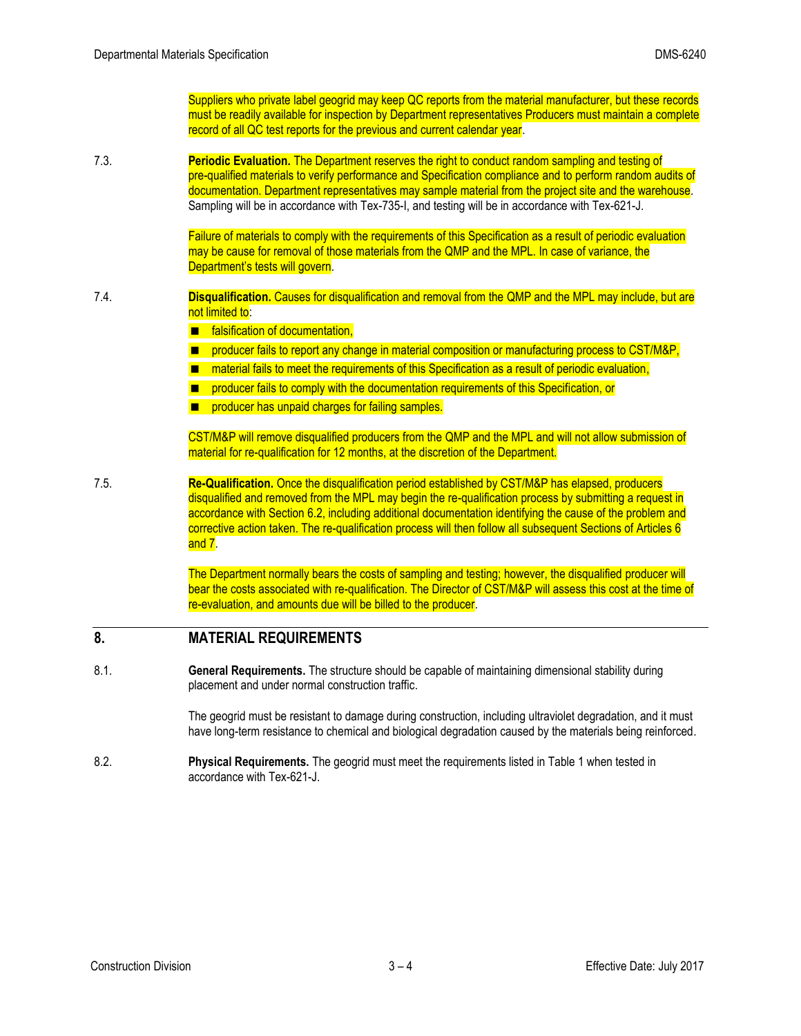Suppliers who private label geogrid may keep QC reports from the material manufacturer, but these records must be readily available for inspection by Department representatives Producers must maintain a complete record of all QC test reports for the previous and current calendar year.

7.3. **Periodic Evaluation.** The Department reserves the right to conduct random sampling and testing of pre-qualified materials to verify performance and Specification compliance and to perform random audits of documentation. Department representatives may sample material from the project site and the warehouse. Sampling will be in accordance with Tex-735-I, and testing will be in accordance with Tex-621-J.

> Failure of materials to comply with the requirements of this Specification as a result of periodic evaluation may be cause for removal of those materials from the QMP and the MPL. In case of variance, the Department's tests will govern.

#### 7.4. **Disqualification.** Causes for disqualification and removal from the QMP and the MPL may include, but are not limited to:

- falsification of documentation,
- **PEDITM:** producer fails to report any change in material composition or manufacturing process to CST/M&P,
- material fails to meet the requirements of this Specification as a result of periodic evaluation,
- **PETT** producer fails to comply with the documentation requirements of this Specification, or
- **Part of the standard charges for failing samples.**

CST/M&P will remove disqualified producers from the QMP and the MPL and will not allow submission of material for re-qualification for 12 months, at the discretion of the Department.

7.5. **Re-Qualification.** Once the disqualification period established by CST/M&P has elapsed, producers disqualified and removed from the MPL may begin the re-qualification process by submitting a request in accordance with Section 6.2, including additional documentation identifying the cause of the problem and corrective action taken. The re-qualification process will then follow all subsequent Sections of Articles 6 and 7.

> The Department normally bears the costs of sampling and testing; however, the disqualified producer will bear the costs associated with re-qualification. The Director of CST/M&P will assess this cost at the time of re-evaluation, and amounts due will be billed to the producer.

#### **8. MATERIAL REQUIREMENTS**

8.1. **General Requirements.** The structure should be capable of maintaining dimensional stability during placement and under normal construction traffic.

> The geogrid must be resistant to damage during construction, including ultraviolet degradation, and it must have long-term resistance to chemical and biological degradation caused by the materials being reinforced.

8.2. **Physical Requirements.** The geogrid must meet the requirements listed in Table 1 when tested in accordance with Tex-621-J.